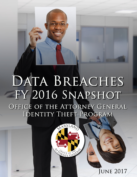# DATA BREACHES FY 2016 SNAPSHOT OFFICE OF THE ATTORNEY GENERAL IDENTITY THEFT PROGRAM



JUNE 2017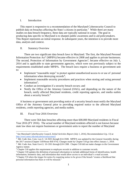## I. Introduction

This report is responsive to a recommendation of the Maryland Cybersecurity Council to publish data on breaches affecting the State's citizens in particular.<sup>1</sup> While there are many studies on data breach frequency, these data are typically national in scope. The goal in producing data specific to Maryland is to sharpen public awareness and to aid policymakers. This Report represents an initial response. In subsequent years, the intention is to provide more data, analysis and context.

## II. Statutory Overview

There are two significant data breach laws in Maryland. The first, the Maryland Personal Information Protection Act<sup>2</sup> (MPIPA) became effective in 2008 and applies to private businesses. The second, Protection of Information by Government Agencies<sup>3</sup>, became effective on July 1, 2014 and is applicable to state government agencies, which were not previously subject to the requirements established under MPIPA. The breach laws require a business or government unit to:

- Implement "reasonable steps" to protect against unauthorized access to or use of personal information when destroying records<sup>4</sup>;
- Implement reasonable security procedures and practices when storing and using personal information<sup>5</sup>;
- Conduct an investigation if a security breach occurs; and
- Notify the Office of the Attorney General (OAG), and depending on the nature of the breach, notify affected Maryland residents, credit reporting agencies, and media outlets about a security breach.<sup>6</sup>

A business or government unit providing notice of a security breach must notify the Maryland Office of the Attorney General prior to providing required notice to the affected Maryland residents, credit reporting agencies, and media outlets.

III. Fiscal Year 2016 Overview

There were 564 data breaches affecting more than 600,000 Maryland residents in Fiscal Year 2016 (FY 2016). The actual number of Maryland residents affected is not known because state law does not require businesses or government units to report the number of Maryland

<sup>&</sup>lt;sup>1</sup> See Maryland CyberSecurity Council, *Initial Activities Report (July 1, 2016)*, Recommendation 6 (p. 13) at <http://www.umuc.edu/mdcybersecuritycouncil>

<sup>&</sup>lt;sup>2</sup> Md. Code Ann. Com. Law § 14-3501 through §14-3508. MPIPA was updated by the General Assembly during the 2017 session (Chapter 518/House Bill 974). Changes made by Chapter 518 go into effect January 1, 2018. <sup>3</sup> Md. Code Ann. State Govt § 10-1301 through §10-1308. Chapter 518 did not make changes to the Government Agency statute.

<sup>4</sup> Chapter 518 applies this requirement to employee records in addition to customer records.

<sup>5</sup> Chapter 518 updates the definition of personal information to include additional forms of identification, health information, biometric data, and information that would allow access to an individual's e-mail account.

<sup>6</sup> Chapter 518 alters the trigger for notice by requiring notice to be given if the breach "creates a likelihood that personal information has been or will be misused."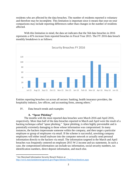residents who are affected by the data breaches. The number of residents reported is voluntary and therefore may be incomplete. This limitation is important since it means that year-on-year comparisons may include reporting differences rather than changes in the number of residents affected.

With this limitation in mind, the data set indicates that the 564 data breaches in 2016 represents a 41% increase from reported breaches in Fiscal Year 2015. The FY 2016 data breach monthly breakdown is as follows:



Entities reporting breaches cut across all sectors: banking, health insurance providers, the hospitality industry, law offices, and accounting firms, among others.<sup>7</sup>

IV. Data breach trends and examples

## **A. "Spear Phishing"**

The months with the most reported data breaches were March 2016 and April 2016, respectively. More than half of the data breaches reported in March and April were the result of a hacking technique called "spear phishing." Spear phishing, is often highly preventable and is potentially extremely damaging to those whose information was compromised. In many instances, the hackers impersonate someone within the company, and then target a particular employee or group of employees via email. If the scheme is successful, unwitting company employees will either install malware into the computer network or actually send personal information directly to the hackers via email. The information targeted in the March and April breaches was frequently centered on employee 2015 W-2 income and tax statements. In such a case, the compromised information can include tax information, social security numbers, tax identification numbers, direct deposit information, and much else.

<sup>7</sup> See Maryland Information Security Breach Notices at <http://www.marylandattorneygeneral.gov/Pages/IdentityTheft/breachnotices.aspx>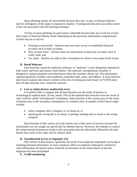Spear phishing attacks are preventable because they rely, in part, on human behavior – and the willingness of the target to respond to requests. Training and education can reduce much of the risk associated with this hacking technique.

Victims of spear phishing are particularly vulnerable because they are at risk for at least three types of financial identity fraud. Depending on the particular information compromised, victims may be at risk for:

- Existing account fraud Hackers may now have access to established financial accounts such as bank accounts;
- New account fraud Hackers may use information to open new accounts, such as credit cards; and
- Tax fraud Hackers are able to file a fraudulent tax return in the name of the victim.

## **B. Retail Malware**

Data breaches caused by malicious software, or "malware,") were frequently reported by both online and brick and mortar retail entities. The malware, surreptitiously installed, is designed to capture payment card information when the customer checks out. The information captured generally includes card number(s), expiration date, name, and address. A retail malware data breach exposes data breach victims to the risk of existing account fraud. In FY2016 more than 50 data breaches were caused by malware.

## **C. Lost or stolen devices, inadvertent error**

It would be folly to suppose that all data breaches are the result of hackers or technological sophistication. In fact, nearly 10% of the reported data breaches were the result of what could be called "old fashioned" techniques. Data breaches of this variety may be the result of human error or the secondary consequence of a related crime. Examples of this breach might include:

- stolen computer after a burglary or car break-in; or
- attaching the wrong file to an email, or perhaps sending mail or email to the wrong recipient.

Data breaches of this variety may lull victims into a false sense of security because the information was not sought out specifically by identity thieves. However, the inability to control the compromised information results in the uncertainty that the individuals affected by the data breach face much of the same risk for identity theft.

# **D. Unauthorized Access or Improper Use**

This variety of data breach is generally the result of an employee improperly accessing or retaining personal information. In many instances where an employee improperly retained or used information, the breach notice noted the involvement of law enforcement or that the employee has been terminated.

## **E. Credit monitoring**